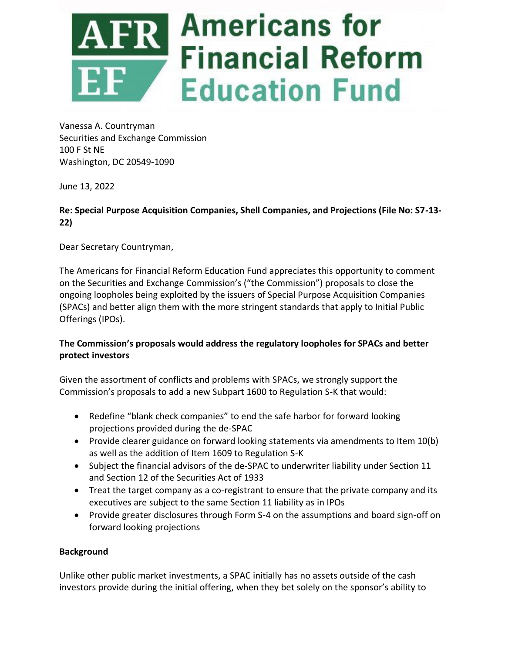

Vanessa A. Countryman Securities and Exchange Commission 100 F St NE Washington, DC 20549-1090

June 13, 2022

## **Re: Special Purpose Acquisition Companies, Shell Companies, and Projections (File No: S7-13- 22)**

Dear Secretary Countryman,

The Americans for Financial Reform Education Fund appreciates this opportunity to comment on the Securities and Exchange Commission's ("the Commission") proposals to close the ongoing loopholes being exploited by the issuers of Special Purpose Acquisition Companies (SPACs) and better align them with the more stringent standards that apply to Initial Public Offerings (IPOs).

## **The Commission's proposals would address the regulatory loopholes for SPACs and better protect investors**

Given the assortment of conflicts and problems with SPACs, we strongly support the Commission's proposals to add a new Subpart 1600 to Regulation S-K that would:

- Redefine "blank check companies" to end the safe harbor for forward looking projections provided during the de-SPAC
- Provide clearer guidance on forward looking statements via amendments to Item 10(b) as well as the addition of Item 1609 to Regulation S-K
- Subject the financial advisors of the de-SPAC to underwriter liability under Section 11 and Section 12 of the Securities Act of 1933
- Treat the target company as a co-registrant to ensure that the private company and its executives are subject to the same Section 11 liability as in IPOs
- Provide greater disclosures through Form S-4 on the assumptions and board sign-off on forward looking projections

## **Background**

Unlike other public market investments, a SPAC initially has no assets outside of the cash investors provide during the initial offering, when they bet solely on the sponsor's ability to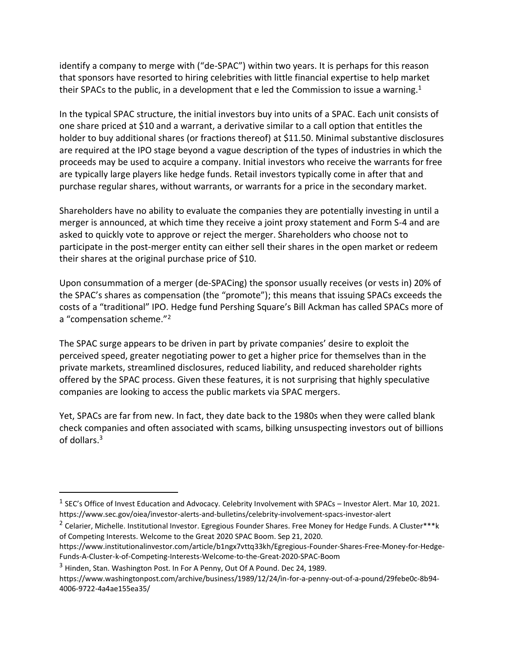identify a company to merge with ("de-SPAC") within two years. It is perhaps for this reason that sponsors have resorted to hiring celebrities with little financial expertise to help market their SPACs to the public, in a development that e led the Commission to issue a warning.<sup>1</sup>

In the typical SPAC structure, the initial investors buy into units of a SPAC. Each unit consists of one share priced at \$10 and a warrant, a derivative similar to a call option that entitles the holder to buy additional shares (or fractions thereof) at \$11.50. Minimal substantive disclosures are required at the IPO stage beyond a vague description of the types of industries in which the proceeds may be used to acquire a company. Initial investors who receive the warrants for free are typically large players like hedge funds. Retail investors typically come in after that and purchase regular shares, without warrants, or warrants for a price in the secondary market.

Shareholders have no ability to evaluate the companies they are potentially investing in until a merger is announced, at which time they receive a joint proxy statement and Form S-4 and are asked to quickly vote to approve or reject the merger. Shareholders who choose not to participate in the post-merger entity can either sell their shares in the open market or redeem their shares at the original purchase price of \$10.

Upon consummation of a merger (de-SPACing) the sponsor usually receives (or vests in) 20% of the SPAC's shares as compensation (the "promote"); this means that issuing SPACs exceeds the costs of a "traditional" IPO. Hedge fund Pershing Square's Bill Ackman has called SPACs more of a "compensation scheme."<sup>2</sup>

The SPAC surge appears to be driven in part by private companies' desire to exploit the perceived speed, greater negotiating power to get a higher price for themselves than in the private markets, streamlined disclosures, reduced liability, and reduced shareholder rights offered by the SPAC process. Given these features, it is not surprising that highly speculative companies are looking to access the public markets via SPAC mergers.

Yet, SPACs are far from new. In fact, they date back to the 1980s when they were called blank check companies and often associated with scams, bilking unsuspecting investors out of billions of dollars.<sup>3</sup>

 $^1$  SEC's Office of Invest Education and Advocacy. Celebrity Involvement with SPACs – Investor Alert. Mar 10, 2021. https://www.sec.gov/oiea/investor-alerts-and-bulletins/celebrity-involvement-spacs-investor-alert

<sup>&</sup>lt;sup>2</sup> Celarier, Michelle. Institutional Investor. Egregious Founder Shares. Free Money for Hedge Funds. A Cluster\*\*\*k of Competing Interests. Welcome to the Great 2020 SPAC Boom. Sep 21, 2020.

https://www.institutionalinvestor.com/article/b1ngx7vttq33kh/Egregious-Founder-Shares-Free-Money-for-Hedge-Funds-A-Cluster-k-of-Competing-Interests-Welcome-to-the-Great-2020-SPAC-Boom

<sup>3</sup> Hinden, Stan. Washington Post. In For A Penny, Out Of A Pound. Dec 24, 1989.

https://www.washingtonpost.com/archive/business/1989/12/24/in-for-a-penny-out-of-a-pound/29febe0c-8b94- 4006-9722-4a4ae155ea35/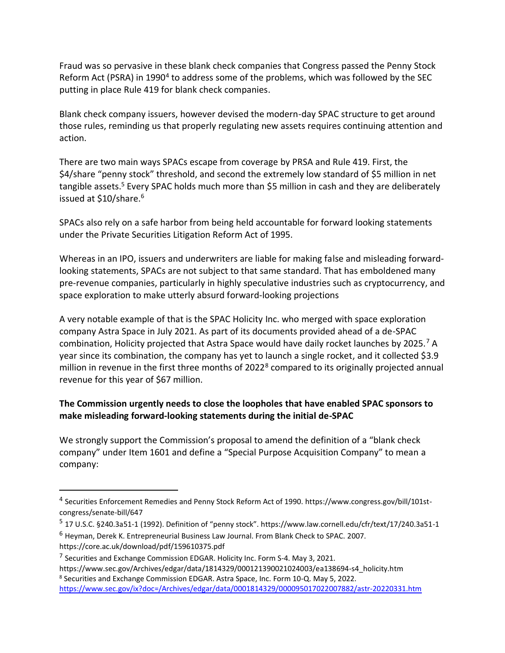Fraud was so pervasive in these blank check companies that Congress passed the Penny Stock Reform Act (PSRA) in 1990<sup>4</sup> to address some of the problems, which was followed by the SEC putting in place Rule 419 for blank check companies.

Blank check company issuers, however devised the modern-day SPAC structure to get around those rules, reminding us that properly regulating new assets requires continuing attention and action.

There are two main ways SPACs escape from coverage by PRSA and Rule 419. First, the \$4/share "penny stock" threshold, and second the extremely low standard of \$5 million in net tangible assets.<sup>5</sup> Every SPAC holds much more than \$5 million in cash and they are deliberately issued at \$10/share.<sup>6</sup>

SPACs also rely on a safe harbor from being held accountable for forward looking statements under the Private Securities Litigation Reform Act of 1995.

Whereas in an IPO, issuers and underwriters are liable for making false and misleading forwardlooking statements, SPACs are not subject to that same standard. That has emboldened many pre-revenue companies, particularly in highly speculative industries such as cryptocurrency, and space exploration to make utterly absurd forward-looking projections

A very notable example of that is the SPAC Holicity Inc. who merged with space exploration company Astra Space in July 2021. As part of its documents provided ahead of a de-SPAC combination, Holicity projected that Astra Space would have daily rocket launches by 2025.<sup>7</sup> A year since its combination, the company has yet to launch a single rocket, and it collected \$3.9 million in revenue in the first three months of 2022<sup>8</sup> compared to its originally projected annual revenue for this year of \$67 million.

### **The Commission urgently needs to close the loopholes that have enabled SPAC sponsors to make misleading forward-looking statements during the initial de-SPAC**

We strongly support the Commission's proposal to amend the definition of a "blank check company" under Item 1601 and define a "Special Purpose Acquisition Company" to mean a company:

<sup>&</sup>lt;sup>4</sup> Securities Enforcement Remedies and Penny Stock Reform Act of 1990. https://www.congress.gov/bill/101stcongress/senate-bill/647

<sup>5</sup> 17 U.S.C. §240.3a51-1 (1992). Definition of "penny stock". https://www.law.cornell.edu/cfr/text/17/240.3a51-1

<sup>6</sup> Heyman, Derek K. Entrepreneurial Business Law Journal. From Blank Check to SPAC. 2007. https://core.ac.uk/download/pdf/159610375.pdf

<sup>&</sup>lt;sup>7</sup> Securities and Exchange Commission EDGAR. Holicity Inc. Form S-4. May 3, 2021.

https://www.sec.gov/Archives/edgar/data/1814329/000121390021024003/ea138694-s4\_holicity.htm <sup>8</sup> Securities and Exchange Commission EDGAR. Astra Space, Inc. Form 10-Q. May 5, 2022.

<https://www.sec.gov/ix?doc=/Archives/edgar/data/0001814329/000095017022007882/astr-20220331.htm>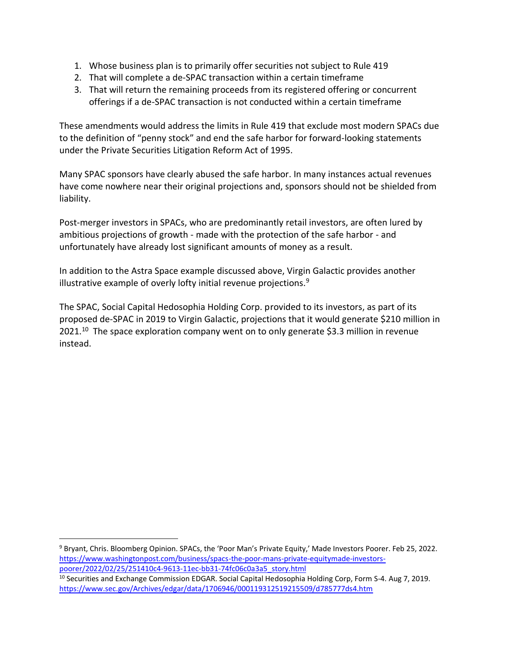- 1. Whose business plan is to primarily offer securities not subject to Rule 419
- 2. That will complete a de-SPAC transaction within a certain timeframe
- 3. That will return the remaining proceeds from its registered offering or concurrent offerings if a de-SPAC transaction is not conducted within a certain timeframe

These amendments would address the limits in Rule 419 that exclude most modern SPACs due to the definition of "penny stock" and end the safe harbor for forward-looking statements under the Private Securities Litigation Reform Act of 1995.

Many SPAC sponsors have clearly abused the safe harbor. In many instances actual revenues have come nowhere near their original projections and, sponsors should not be shielded from liability.

Post-merger investors in SPACs, who are predominantly retail investors, are often lured by ambitious projections of growth - made with the protection of the safe harbor - and unfortunately have already lost significant amounts of money as a result.

In addition to the Astra Space example discussed above, Virgin Galactic provides another illustrative example of overly lofty initial revenue projections. $9$ 

The SPAC, Social Capital Hedosophia Holding Corp. provided to its investors, as part of its proposed de-SPAC in 2019 to Virgin Galactic, projections that it would generate \$210 million in 2021. <sup>10</sup> The space exploration company went on to only generate \$3.3 million in revenue instead.

<sup>9</sup> Bryant, Chris. Bloomberg Opinion. SPACs, the 'Poor Man's Private Equity,' Made Investors Poorer. Feb 25, 2022. [https://www.washingtonpost.com/business/spacs-the-poor-mans-private-equitymade-investors](https://www.washingtonpost.com/business/spacs-the-poor-mans-private-equitymade-investors-poorer/2022/02/25/251410c4-9613-11ec-bb31-74fc06c0a3a5_story.html)[poorer/2022/02/25/251410c4-9613-11ec-bb31-74fc06c0a3a5\\_story.html](https://www.washingtonpost.com/business/spacs-the-poor-mans-private-equitymade-investors-poorer/2022/02/25/251410c4-9613-11ec-bb31-74fc06c0a3a5_story.html)

<sup>10</sup> Securities and Exchange Commission EDGAR. Social Capital Hedosophia Holding Corp, Form S-4. Aug 7, 2019. <https://www.sec.gov/Archives/edgar/data/1706946/000119312519215509/d785777ds4.htm>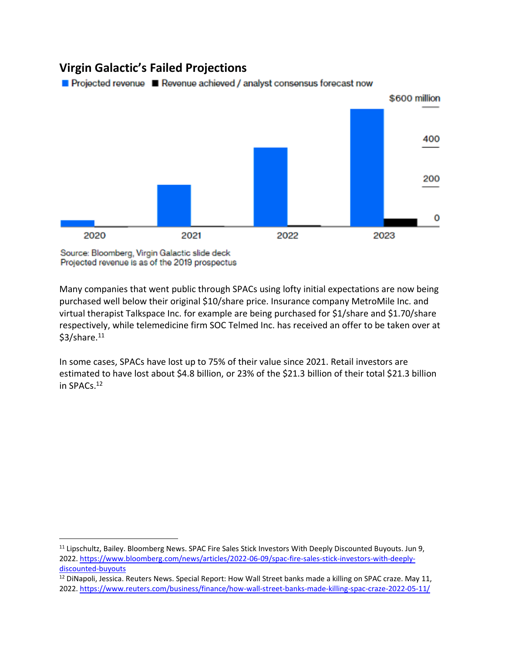# **Virgin Galactic's Failed Projections**



400

200

Projected revenue PRevenue achieved / analyst consensus forecast now



Many companies that went public through SPACs using lofty initial expectations are now being purchased well below their original \$10/share price. Insurance company MetroMile Inc. and virtual therapist Talkspace Inc. for example are being purchased for \$1/share and \$1.70/share respectively, while telemedicine firm SOC Telmed Inc. has received an offer to be taken over at  $$3/share.<sup>11</sup>$ 

In some cases, SPACs have lost up to 75% of their value since 2021. Retail investors are estimated to have lost about \$4.8 billion, or 23% of the \$21.3 billion of their total \$21.3 billion in SPACs.<sup>12</sup>

<sup>&</sup>lt;sup>11</sup> Lipschultz, Bailey. Bloomberg News. SPAC Fire Sales Stick Investors With Deeply Discounted Buyouts. Jun 9, 2022. [https://www.bloomberg.com/news/articles/2022-06-09/spac-fire-sales-stick-investors-with-deeply](https://www.bloomberg.com/news/articles/2022-06-09/spac-fire-sales-stick-investors-with-deeply-discounted-buyouts)[discounted-buyouts](https://www.bloomberg.com/news/articles/2022-06-09/spac-fire-sales-stick-investors-with-deeply-discounted-buyouts)

<sup>&</sup>lt;sup>12</sup> DiNapoli, Jessica. Reuters News. Special Report: How Wall Street banks made a killing on SPAC craze. May 11, 2022.<https://www.reuters.com/business/finance/how-wall-street-banks-made-killing-spac-craze-2022-05-11/>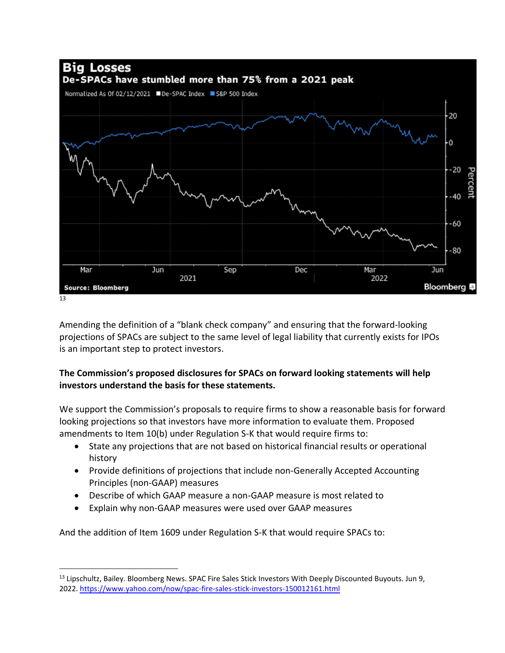

Amending the definition of a "blank check company" and ensuring that the forward-looking projections of SPACs are subject to the same level of legal liability that currently exists for IPOs is an important step to protect investors.

### **The Commission's proposed disclosures for SPACs on forward looking statements will help investors understand the basis for these statements.**

We support the Commission's proposals to require firms to show a reasonable basis for forward looking projections so that investors have more information to evaluate them. Proposed amendments to Item 10(b) under Regulation S-K that would require firms to:

- State any projections that are not based on historical financial results or operational history
- Provide definitions of projections that include non-Generally Accepted Accounting Principles (non-GAAP) measures
- Describe of which GAAP measure a non-GAAP measure is most related to
- Explain why non-GAAP measures were used over GAAP measures

And the addition of Item 1609 under Regulation S-K that would require SPACs to:

<sup>13</sup> Lipschultz, Bailey. Bloomberg News. SPAC Fire Sales Stick Investors With Deeply Discounted Buyouts. Jun 9, 2022.<https://www.yahoo.com/now/spac-fire-sales-stick-investors-150012161.html>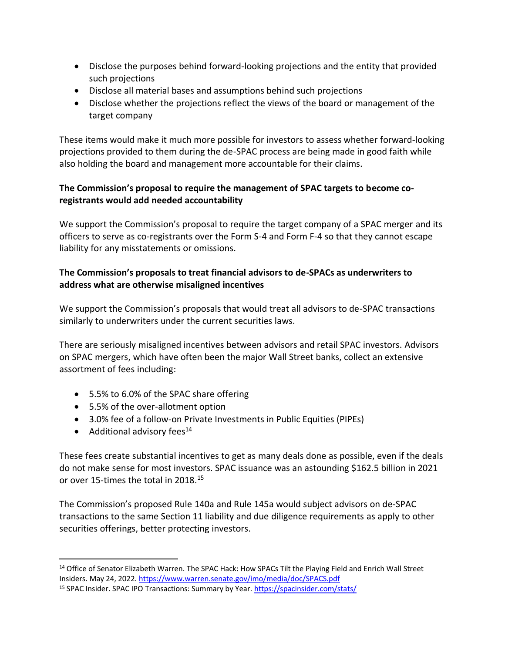- Disclose the purposes behind forward-looking projections and the entity that provided such projections
- Disclose all material bases and assumptions behind such projections
- Disclose whether the projections reflect the views of the board or management of the target company

These items would make it much more possible for investors to assess whether forward-looking projections provided to them during the de-SPAC process are being made in good faith while also holding the board and management more accountable for their claims.

### **The Commission's proposal to require the management of SPAC targets to become coregistrants would add needed accountability**

We support the Commission's proposal to require the target company of a SPAC merger and its officers to serve as co-registrants over the Form S-4 and Form F-4 so that they cannot escape liability for any misstatements or omissions.

#### **The Commission's proposals to treat financial advisors to de-SPACs as underwriters to address what are otherwise misaligned incentives**

We support the Commission's proposals that would treat all advisors to de-SPAC transactions similarly to underwriters under the current securities laws.

There are seriously misaligned incentives between advisors and retail SPAC investors. Advisors on SPAC mergers, which have often been the major Wall Street banks, collect an extensive assortment of fees including:

- 5.5% to 6.0% of the SPAC share offering
- 5.5% of the over-allotment option
- 3.0% fee of a follow-on Private Investments in Public Equities (PIPEs)
- Additional advisory fees $^{14}$

These fees create substantial incentives to get as many deals done as possible, even if the deals do not make sense for most investors. SPAC issuance was an astounding \$162.5 billion in 2021 or over 15-times the total in 2018.<sup>15</sup>

The Commission's proposed Rule 140a and Rule 145a would subject advisors on de-SPAC transactions to the same Section 11 liability and due diligence requirements as apply to other securities offerings, better protecting investors.

<sup>&</sup>lt;sup>14</sup> Office of Senator Elizabeth Warren. The SPAC Hack: How SPACs Tilt the Playing Field and Enrich Wall Street Insiders. May 24, 2022[. https://www.warren.senate.gov/imo/media/doc/SPACS.pdf](https://www.warren.senate.gov/imo/media/doc/SPACS.pdf)

<sup>&</sup>lt;sup>15</sup> SPAC Insider. SPAC IPO Transactions: Summary by Year.<https://spacinsider.com/stats/>